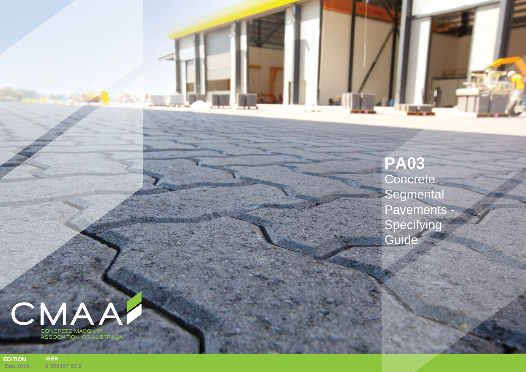**PA03 Concrete** Segmental Pavements Specifying **Guide** 



**EDITION Dec 2010 ISBN 0 909407 5 9 2**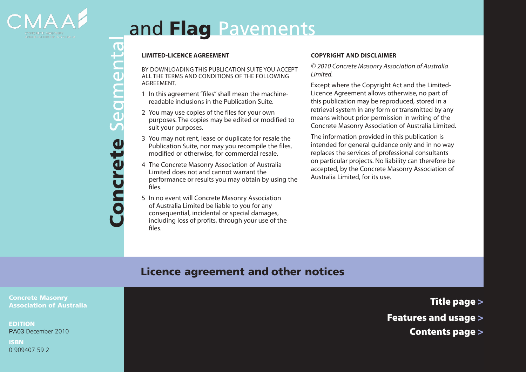

# and Flag Pavements

By DOWNLOADING THIS PUBLICATION SUITE you accept all the terms and conditions of the following agreement.

- 1 In this agreement "files" shall mean the machinereadable inclusions in the Publication Suite.
- 2 You may use copies of the files for your own purposes. The copies may be edited or modified to suit your purposes.
- 3 You may not rent, lease or duplicate for resale the Publication Suite, nor may you recompile the files, modified or otherwise, for commercial resale.
- 4 The Concrete Masonry Association of Australia Limited does not and cannot warrant the performance or results you may obtain by using the files.
- **CONCREDIBATE SET ASSEMBATE SET AND CONDITION**<br>
ACTEVENT AND CONDITION<br>
AGREEMENT.<br>
1 In this agreement "files" shal<br>
readable inclusions in the P<br>
2 You may use copies of the fi<br>
purposes. The copies may be<br>
suit your pur 5 In no event will Concrete Masonry Association of Australia Limited be liable to you for any consequential, incidental or special damages, including loss of profits, through your use of the files.

#### **COPYRIGHT AND DISCLAIMER**

*© 2010 Concrete Masonry Association of Australia Limited.*

Except where the Copyright Act and the Limited-Licence Agreement allows otherwise, no part of this publication may be reproduced, stored in a retrieval system in any form or transmitted by any means without prior permission in writing of the Concrete Masonry Association of Australia Limited.

The information provided in this publication is intended for general guidance only and in no way replaces the services of professional consultants on particular projects. No liability can therefore be accepted, by the Concrete Masonry Association of Australia Limited, for its use.

## Licence agreement and other notices

Concrete Masonry Association of Australia

EDITION PA03 December 2010

ISBN 0 909407 59 2 Title page >

- Features and usage >
	- Contents page >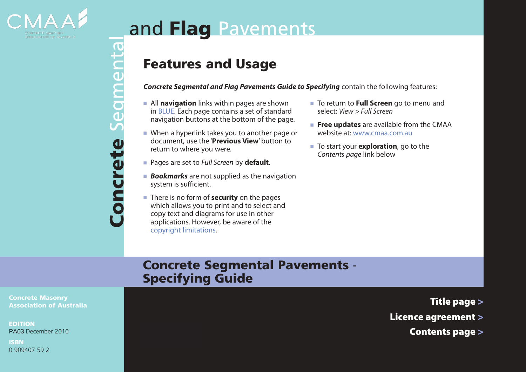

# and Flag Pavements

# Features and Usage

*Concrete Segmental and Flag Pavements Guide to Specifying* contain the following features:

- **F** All **navigation** links within pages are shown in BLUE. Each page contains a set of standard navigation buttons at the bottom of the page.
- $\blacksquare$  When a hyperlink takes you to another page or document, use the '**Previous View**' button to return to where you were.
- <sup>n</sup> Pages are set to *Full Screen* by **default**.

Concrete Segmental

oncrete

Segmental

- **Bookmarks** are not supplied as the navigation system is sufficient.
- **n** There is no form of **security** on the pages which allows you to print and to select and copy text and diagrams for use in other applications. However, be aware of the copyright limitations.
- To return to **Full Screen** go to menu and select: *View > Full Screen*
- **Free updates** are available from the CMAA website at: [www.cmaa.com.au](http://www.cmaa.com.au)
- To start your **exploration**, go to the *Contents page* link below

## Concrete Segmental Pavements - Specifying Guide

Concrete Masonry Association of Australia

EDITION PA03 December 2010

ISBN 0 909407 59 2 Title page >

- Licence agreement >
	- Contents page >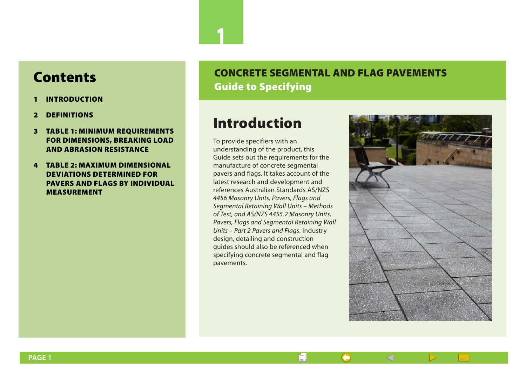# Contents

- 1 [INTRODUCTION](#page-3-0)
- 2 [DEFINITIONS](#page-4-0)
- 3 [TABLE 1: MINIMUM REQUIREMENTS](#page-6-0)  [FOR DIMENSIONS, BREAKING LOAD](#page-6-0)  [AND ABRASION RESISTANCE](#page-6-0)
- 4 [TABLE 2: MAXIMUM DIMENSIONAL](#page-7-0)  [DEVIATIONS DETERMINED FOR](#page-7-0)  [PAVERS AND FLAGS BY INDIVIDUAL](#page-7-0)  [MEASUREMENT](#page-7-0)

## <span id="page-3-0"></span>CONCRETE SEGMENTAL AND FLAG PAVEMENTS Guide to Specifying

# Introduction

1

To provide specifiers with an understanding of the product, this Guide sets out the requirements for the manufacture of concrete segmental pavers and flags. It takes account of the latest research and development and references Australian Standards AS/NZS *4456 Masonry Units, Pavers, Flags and Segmental Retaining Wall Units – Methods of Test, and AS/NZS 4455.2 Masonry Units, Pavers, Flags and Segmental Retaining Wall Units – Part 2 Pavers and Flags*. Industry design, detailing and construction guides should also be referenced when specifying concrete segmental and flag pavements.

—

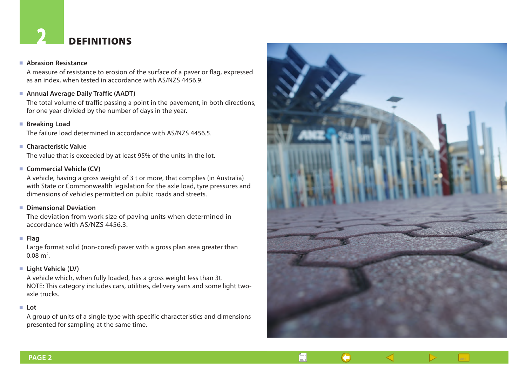# <span id="page-4-0"></span>**DEFINITIONS**

#### <sup>n</sup> **Abrasion Resistance**

A measure of resistance to erosion of the surface of a paver or flag, expressed as an index, when tested in accordance with AS/NZS 4456.9.

#### ■ Annual Average Daily Traffic (AADT)

The total volume of traffic passing a point in the pavement, in both directions, for one year divided by the number of days in the year.

#### ■ Breaking Load

The failure load determined in accordance with AS/NZS 4456.5.

#### **n** Characteristic Value

The value that is exceeded by at least 95% of the units in the lot.

#### ■ **Commercial Vehicle (CV)**

A vehicle, having a gross weight of 3 t or more, that complies (in Australia) with State or Commonwealth legislation for the axle load, tyre pressures and dimensions of vehicles permitted on public roads and streets.

#### <sup>n</sup> **Dimensional Deviation**

The deviation from work size of paving units when determined in accordance with AS/NZS 4456.3.

#### <sup>n</sup> **Flag**

Large format solid (non-cored) paver with a gross plan area greater than  $0.08 \text{ m}^2$ .

#### ■ Light Vehicle (LV)

A vehicle which, when fully loaded, has a gross weight less than 3t. NOTE: This category includes cars, utilities, delivery vans and some light twoaxle trucks.

#### <sup>n</sup> **Lot**

A group of units of a single type with specific characteristics and dimensions presented for sampling at the same time.

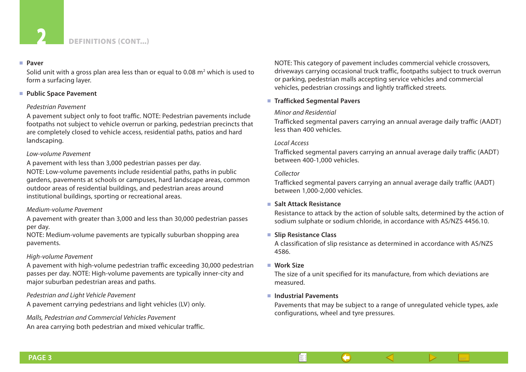

#### <sup>n</sup> **Paver**

Solid unit with a gross plan area less than or equal to 0.08  $m<sup>2</sup>$  which is used to form a surfacing layer.

#### ■ Public Space Pavement

#### *Pedestrian Pavement*

A pavement subject only to foot traffic. NOTE: Pedestrian pavements include footpaths not subject to vehicle overrun or parking, pedestrian precincts that are completely closed to vehicle access, residential paths, patios and hard landscaping.

#### *Low-volume Pavement*

A pavement with less than 3,000 pedestrian passes per day. NOTE: Low-volume pavements include residential paths, paths in public gardens, pavements at schools or campuses, hard landscape areas, common outdoor areas of residential buildings, and pedestrian areas around institutional buildings, sporting or recreational areas.

#### *Medium-volume Pavement*

A pavement with greater than 3,000 and less than 30,000 pedestrian passes per day.

NOTE: Medium-volume pavements are typically suburban shopping area pavements.

#### *High-volume Pavement*

A pavement with high-volume pedestrian traffic exceeding 30,000 pedestrian passes per day. NOTE: High-volume pavements are typically inner-city and major suburban pedestrian areas and paths.

*Pedestrian and Light Vehicle Pavement*

A pavement carrying pedestrians and light vehicles (LV) only.

*Malls, Pedestrian and Commercial Vehicles Pavement* An area carrying both pedestrian and mixed vehicular traffic. NOTE: This category of pavement includes commercial vehicle crossovers, driveways carrying occasional truck traffic, footpaths subject to truck overrun or parking, pedestrian malls accepting service vehicles and commercial vehicles, pedestrian crossings and lightly trafficked streets.

#### ■ **Trafficked Segmental Pavers**

#### *Minor and Residential*

Trafficked segmental pavers carrying an annual average daily traffic (AADT) less than 400 vehicles.

#### *Local Access*

Trafficked segmental pavers carrying an annual average daily traffic (AADT) between 400-1,000 vehicles.

#### *Collector*

Trafficked segmental pavers carrying an annual average daily traffic (AADT) between 1,000-2,000 vehicles.

#### <sup>n</sup> **Salt Attack Resistance**

 Resistance to attack by the action of soluble salts, determined by the action of sodium sulphate or sodium chloride, in accordance with AS/NZS 4456.10.

#### **n** Slip Resistance Class

A classification of slip resistance as determined in accordance with AS/NZS 4586.

#### <sup>n</sup> **Work Size**

The size of a unit specified for its manufacture, from which deviations are measured.

#### <sup>n</sup> **Industrial Pavements**

È!

Pavements that may be subject to a range of unregulated vehicle types, axle configurations, wheel and tyre pressures.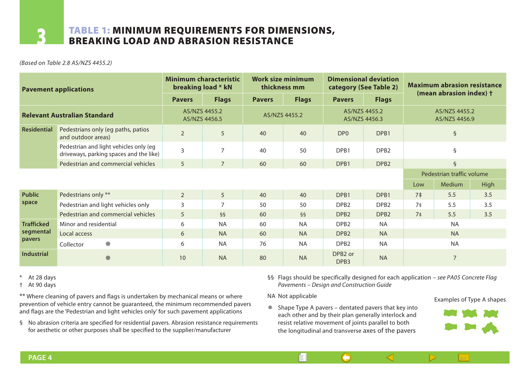### <span id="page-6-0"></span>TABLE 1: MINIMUM REQUIREMENTS FOR DIMENSIONS, breaking load and abrasion resistance

*(Based on Table 2.8 AS/NZS 4455.2)*

| <b>Pavement applications</b>             |                                                                                   | <b>Minimum characteristic</b><br>breaking load * kN |                | Work size minimum<br>thickness mm |              | <b>Dimensional deviation</b><br>category (See Table 2) |                  | <b>Maximum abrasion resistance</b> |                |             |
|------------------------------------------|-----------------------------------------------------------------------------------|-----------------------------------------------------|----------------|-----------------------------------|--------------|--------------------------------------------------------|------------------|------------------------------------|----------------|-------------|
|                                          |                                                                                   | <b>Pavers</b>                                       | <b>Flags</b>   | <b>Pavers</b>                     | <b>Flags</b> | <b>Pavers</b>                                          | <b>Flags</b>     | (mean abrasion index) +            |                |             |
| <b>Relevant Australian Standard</b>      |                                                                                   | AS/N7S 4455.2<br>AS/NZS 4456.5                      |                | AS/NZS 4455.2                     |              | AS/NZS 4455.2<br>AS/NZS 4456.3                         |                  | AS/NZS 4455.2<br>AS/NZS 4456.9     |                |             |
| Residential                              | Pedestrians only (eg paths, patios<br>and outdoor areas)                          | $\overline{2}$                                      | 5              | 40                                | 40           | DP <sub>0</sub>                                        | DPB1             | $\S$                               |                |             |
|                                          | Pedestrian and light vehicles only (eg<br>driveways, parking spaces and the like) | 3                                                   | $\overline{7}$ | 40                                | 50           | DPB1                                                   | DPB <sub>2</sub> | ş                                  |                |             |
|                                          | Pedestrian and commercial vehicles                                                | 5                                                   | $\overline{7}$ | 60                                | 60           | DPB1                                                   | DPB <sub>2</sub> | $\S$                               |                |             |
|                                          |                                                                                   |                                                     |                |                                   |              |                                                        |                  | Pedestrian traffic volume          |                |             |
|                                          |                                                                                   |                                                     |                |                                   |              |                                                        |                  | Low                                | Medium         | <b>High</b> |
| <b>Public</b><br>space                   | Pedestrians only **                                                               | $\overline{2}$                                      | 5              | 40                                | 40           | DPB <sub>1</sub>                                       | DPB <sub>1</sub> | 7 <sup>±</sup>                     | 5.5            | 3.5         |
|                                          | Pedestrian and light vehicles only                                                | 3                                                   | $\overline{7}$ | 50                                | 50           | DPB <sub>2</sub>                                       | DPB <sub>2</sub> | 7 <sup>±</sup>                     | 5.5            | 3.5         |
|                                          | Pedestrian and commercial vehicles                                                | 5                                                   | $\S$           | 60                                | $\S$         | DPB <sub>2</sub>                                       | DPB <sub>2</sub> | 7 <sup>±</sup>                     | 5.5            | 3.5         |
| <b>Trafficked</b><br>segmental<br>pavers | Minor and residential                                                             | 6                                                   | <b>NA</b>      | 60                                | <b>NA</b>    | DPB <sub>2</sub>                                       | <b>NA</b>        | <b>NA</b>                          |                |             |
|                                          | Local access                                                                      | 6                                                   | <b>NA</b>      | 60                                | <b>NA</b>    | DPB <sub>2</sub>                                       | <b>NA</b>        | <b>NA</b>                          |                |             |
|                                          | 豢<br>Collector                                                                    | 6                                                   | <b>NA</b>      | 76                                | <b>NA</b>    | DPB <sub>2</sub>                                       | <b>NA</b>        | <b>NA</b>                          |                |             |
| <b>Industrial</b>                        | 祭                                                                                 | 10                                                  | <b>NA</b>      | 80                                | <b>NA</b>    | DPB <sub>2</sub> or<br>DPB3                            | <b>NA</b>        |                                    | $\overline{7}$ |             |

\* At 28 days

† At 90 days

\*\* Where cleaning of pavers and flags is undertaken by mechanical means or where prevention of vehicle entry cannot be guaranteed, the minimum recommended pavers and flags are the 'Pedestrian and light vehicles only' for such pavement applications

§ No abrasion criteria are specified for residential pavers. Abrasion resistance requirements for aesthetic or other purposes shall be specified to the supplier/manufacturer

§§ Flags should be specifically designed for each application – *see PA05 Concrete Flag*  **Verification** *Pavements – Design and Construction Guide* <u>IICation – see PAUS Concrete i</u>

> key into each other and, by their plan geometry, interlock

NA Not applicable

È!

 $*$  Shape Type A pavers – dentated pavers that key into each other and by their plan generally interlock and resist relative movement of joints parallel to both the longitudinal and transverse axes of the pavers





pavements in several specific areas as noted below.

**Aesthetic Appeal**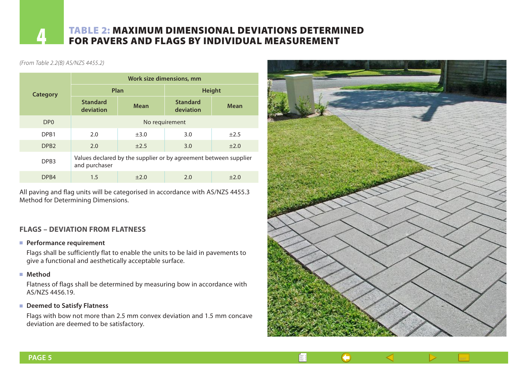# <span id="page-7-0"></span>**4 TABLE 2: MAXIMUM DIMENSIONAL DEVIATIONS DETERMINED**<br>FOR PAVERS AND FLAGS BY INDIVIDUAL MEASUREMENT

#### *(From Table 2.2(B) AS/NZS 4455.2)*

|                  | Work size dimensions, mm                                                          |             |                              |             |  |  |  |  |  |
|------------------|-----------------------------------------------------------------------------------|-------------|------------------------------|-------------|--|--|--|--|--|
| <b>Category</b>  |                                                                                   | Plan        | <b>Height</b>                |             |  |  |  |  |  |
|                  | <b>Standard</b><br>deviation                                                      | <b>Mean</b> | <b>Standard</b><br>deviation | <b>Mean</b> |  |  |  |  |  |
| DP <sub>0</sub>  | No requirement                                                                    |             |                              |             |  |  |  |  |  |
| DP <sub>B1</sub> | 2.0                                                                               | $\pm 3.0$   | 3.0                          | $\pm 2.5$   |  |  |  |  |  |
| DPB <sub>2</sub> | 2.0                                                                               | $\pm 2.5$   | 3.0                          | $\pm 2.0$   |  |  |  |  |  |
| DPB <sub>3</sub> | Values declared by the supplier or by agreement between supplier<br>and purchaser |             |                              |             |  |  |  |  |  |
| DP <sub>B4</sub> | 1.5                                                                               | $+2.0$      | 2.0                          | $+2.0$      |  |  |  |  |  |

All paving and flag units will be categorised in accordance with AS/NZS 4455.3 Method for Determining Dimensions.

#### **FLAGS – DEVIATION FROM FLATNESS**

#### **Performance requirement**

 Flags shall be sufficiently flat to enable the units to be laid in pavements to give a functional and aesthetically acceptable surface.

<sup>n</sup> **Method**

 Flatness of flags shall be determined by measuring bow in accordance with AS/NZS 4456.19.

#### ■ Deemed to Satisfy Flatness

 Flags with bow not more than 2.5 mm convex deviation and 1.5 mm concave deviation are deemed to be satisfactory.